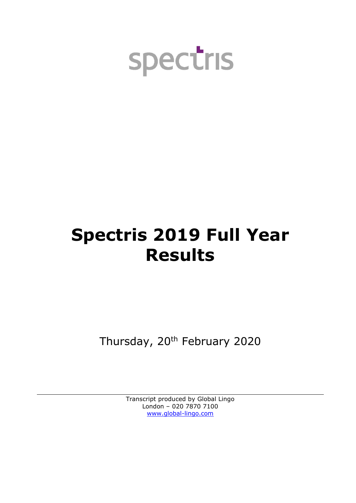

# **Spectris 2019 Full Year Results**

Thursday, 20<sup>th</sup> February 2020

Transcript produced by Global Lingo London – 020 7870 7100 [www.global-lingo.com](http://www.global-lingo.com/)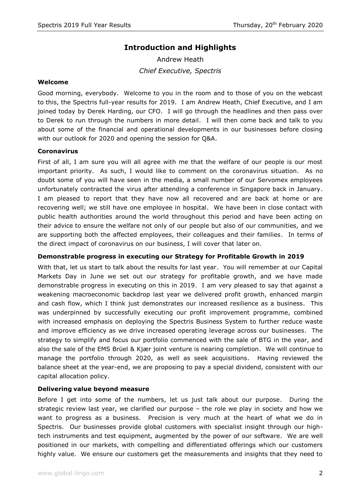# **Introduction and Highlights**

Andrew Heath *Chief Executive, Spectris*

### **Welcome**

Good morning, everybody. Welcome to you in the room and to those of you on the webcast to this, the Spectris full-year results for 2019. I am Andrew Heath, Chief Executive, and I am joined today by Derek Harding, our CFO. I will go through the headlines and then pass over to Derek to run through the numbers in more detail. I will then come back and talk to you about some of the financial and operational developments in our businesses before closing with our outlook for 2020 and opening the session for Q&A.

# **Coronavirus**

First of all, I am sure you will all agree with me that the welfare of our people is our most important priority. As such, I would like to comment on the coronavirus situation. As no doubt some of you will have seen in the media, a small number of our Servomex employees unfortunately contracted the virus after attending a conference in Singapore back in January. I am pleased to report that they have now all recovered and are back at home or are recovering well; we still have one employee in hospital. We have been in close contact with public health authorities around the world throughout this period and have been acting on their advice to ensure the welfare not only of our people but also of our communities, and we are supporting both the affected employees, their colleagues and their families. In terms of the direct impact of coronavirus on our business, I will cover that later on.

# **Demonstrable progress in executing our Strategy for Profitable Growth in 2019**

With that, let us start to talk about the results for last year. You will remember at our Capital Markets Day in June we set out our strategy for profitable growth, and we have made demonstrable progress in executing on this in 2019. I am very pleased to say that against a weakening macroeconomic backdrop last year we delivered profit growth, enhanced margin and cash flow, which I think just demonstrates our increased resilience as a business. This was underpinned by successfully executing our profit improvement programme, combined with increased emphasis on deploying the Spectris Business System to further reduce waste and improve efficiency as we drive increased operating leverage across our businesses. The strategy to simplify and focus our portfolio commenced with the sale of BTG in the year, and also the sale of the EMS Brüel & Kjær joint venture is nearing completion. We will continue to manage the portfolio through 2020, as well as seek acquisitions. Having reviewed the balance sheet at the year-end, we are proposing to pay a special dividend, consistent with our capital allocation policy.

#### **Delivering value beyond measure**

Before I get into some of the numbers, let us just talk about our purpose. During the strategic review last year, we clarified our purpose – the role we play in society and how we want to progress as a business. Precision is very much at the heart of what we do in Spectris. Our businesses provide global customers with specialist insight through our hightech instruments and test equipment, augmented by the power of our software. We are well positioned in our markets, with compelling and differentiated offerings which our customers highly value. We ensure our customers get the measurements and insights that they need to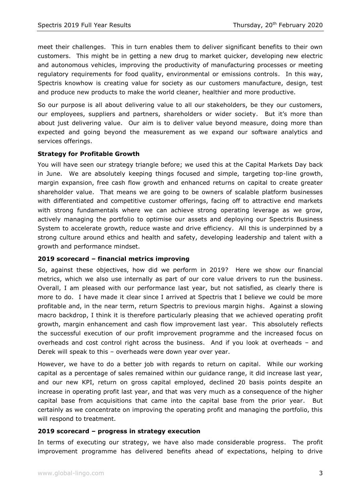meet their challenges. This in turn enables them to deliver significant benefits to their own customers. This might be in getting a new drug to market quicker, developing new electric and autonomous vehicles, improving the productivity of manufacturing processes or meeting regulatory requirements for food quality, environmental or emissions controls. In this way, Spectris knowhow is creating value for society as our customers manufacture, design, test and produce new products to make the world cleaner, healthier and more productive.

So our purpose is all about delivering value to all our stakeholders, be they our customers, our employees, suppliers and partners, shareholders or wider society. But it's more than about just delivering value. Our aim is to deliver value beyond measure, doing more than expected and going beyond the measurement as we expand our software analytics and services offerings.

# **Strategy for Profitable Growth**

You will have seen our strategy triangle before; we used this at the Capital Markets Day back in June. We are absolutely keeping things focused and simple, targeting top-line growth, margin expansion, free cash flow growth and enhanced returns on capital to create greater shareholder value. That means we are going to be owners of scalable platform businesses with differentiated and competitive customer offerings, facing off to attractive end markets with strong fundamentals where we can achieve strong operating leverage as we grow, actively managing the portfolio to optimise our assets and deploying our Spectris Business System to accelerate growth, reduce waste and drive efficiency. All this is underpinned by a strong culture around ethics and health and safety, developing leadership and talent with a growth and performance mindset.

#### **2019 scorecard – financial metrics improving**

So, against these objectives, how did we perform in 2019? Here we show our financial metrics, which we also use internally as part of our core value drivers to run the business. Overall, I am pleased with our performance last year, but not satisfied, as clearly there is more to do. I have made it clear since I arrived at Spectris that I believe we could be more profitable and, in the near term, return Spectris to previous margin highs. Against a slowing macro backdrop, I think it is therefore particularly pleasing that we achieved operating profit growth, margin enhancement and cash flow improvement last year. This absolutely reflects the successful execution of our profit improvement programme and the increased focus on overheads and cost control right across the business. And if you look at overheads – and Derek will speak to this – overheads were down year over year.

However, we have to do a better job with regards to return on capital. While our working capital as a percentage of sales remained within our guidance range, it did increase last year, and our new KPI, return on gross capital employed, declined 20 basis points despite an increase in operating profit last year, and that was very much as a consequence of the higher capital base from acquisitions that came into the capital base from the prior year. But certainly as we concentrate on improving the operating profit and managing the portfolio, this will respond to treatment.

#### **2019 scorecard – progress in strategy execution**

In terms of executing our strategy, we have also made considerable progress. The profit improvement programme has delivered benefits ahead of expectations, helping to drive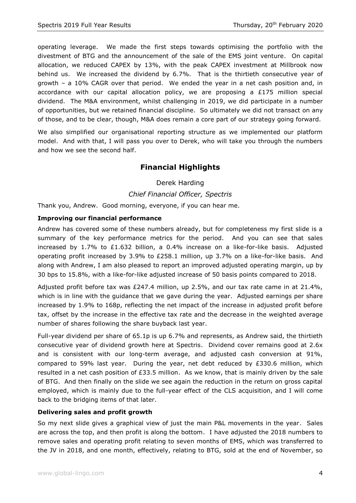operating leverage. We made the first steps towards optimising the portfolio with the divestment of BTG and the announcement of the sale of the EMS joint venture. On capital allocation, we reduced CAPEX by 13%, with the peak CAPEX investment at Millbrook now behind us. We increased the dividend by 6.7%. That is the thirtieth consecutive year of growth – a 10% CAGR over that period. We ended the year in a net cash position and, in accordance with our capital allocation policy, we are proposing a  $£175$  million special dividend. The M&A environment, whilst challenging in 2019, we did participate in a number of opportunities, but we retained financial discipline. So ultimately we did not transact on any of those, and to be clear, though, M&A does remain a core part of our strategy going forward.

We also simplified our organisational reporting structure as we implemented our platform model. And with that, I will pass you over to Derek, who will take you through the numbers and how we see the second half.

# **Financial Highlights**

Derek Harding

*Chief Financial Officer, Spectris*

Thank you, Andrew. Good morning, everyone, if you can hear me.

#### **Improving our financial performance**

Andrew has covered some of these numbers already, but for completeness my first slide is a summary of the key performance metrics for the period. And you can see that sales increased by 1.7% to £1.632 billion, a 0.4% increase on a like-for-like basis. Adjusted operating profit increased by 3.9% to £258.1 million, up 3.7% on a like-for-like basis. And along with Andrew, I am also pleased to report an improved adjusted operating margin, up by 30 bps to 15.8%, with a like-for-like adjusted increase of 50 basis points compared to 2018.

Adjusted profit before tax was £247.4 million, up 2.5%, and our tax rate came in at 21.4%, which is in line with the guidance that we gave during the year. Adjusted earnings per share increased by 1.9% to 168p, reflecting the net impact of the increase in adjusted profit before tax, offset by the increase in the effective tax rate and the decrease in the weighted average number of shares following the share buyback last year.

Full-year dividend per share of 65.1p is up 6.7% and represents, as Andrew said, the thirtieth consecutive year of dividend growth here at Spectris. Dividend cover remains good at 2.6x and is consistent with our long-term average, and adjusted cash conversion at 91%, compared to 59% last year. During the year, net debt reduced by £330.6 million, which resulted in a net cash position of  $E33.5$  million. As we know, that is mainly driven by the sale of BTG. And then finally on the slide we see again the reduction in the return on gross capital employed, which is mainly due to the full-year effect of the CLS acquisition, and I will come back to the bridging items of that later.

#### **Delivering sales and profit growth**

So my next slide gives a graphical view of just the main P&L movements in the year. Sales are across the top, and then profit is along the bottom. I have adjusted the 2018 numbers to remove sales and operating profit relating to seven months of EMS, which was transferred to the JV in 2018, and one month, effectively, relating to BTG, sold at the end of November, so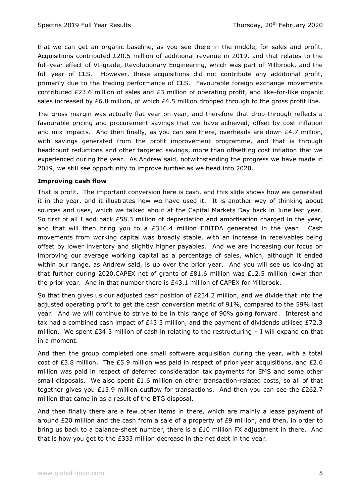that we can get an organic baseline, as you see there in the middle, for sales and profit. Acquisitions contributed £20.5 million of additional revenue in 2019, and that relates to the full-year effect of VI-grade, Revolutionary Engineering, which was part of Millbrook, and the full year of CLS. However, these acquisitions did not contribute any additional profit, primarily due to the trading performance of CLS. Favourable foreign exchange movements contributed £23.6 million of sales and £3 million of operating profit, and like-for-like organic sales increased by £6.8 million, of which £4.5 million dropped through to the gross profit line.

The gross margin was actually flat year on year, and therefore that drop-through reflects a favourable pricing and procurement savings that we have achieved, offset by cost inflation and mix impacts. And then finally, as you can see there, overheads are down  $E4.7$  million, with savings generated from the profit improvement programme, and that is through headcount reductions and other targeted savings, more than offsetting cost inflation that we experienced during the year. As Andrew said, notwithstanding the progress we have made in 2019, we still see opportunity to improve further as we head into 2020.

# **Improving cash flow**

That is profit. The important conversion here is cash, and this slide shows how we generated it in the year, and it illustrates how we have used it. It is another way of thinking about sources and uses, which we talked about at the Capital Markets Day back in June last year. So first of all I add back £58.3 million of depreciation and amortisation charged in the year, and that will then bring you to a  $£316.4$  million EBITDA generated in the year. Cash movements from working capital was broadly stable, with an increase in receivables being offset by lower inventory and slightly higher payables. And we are increasing our focus on improving our average working capital as a percentage of sales, which, although it ended within our range, as Andrew said, is up over the prior year. And you will see us looking at that further during 2020.CAPEX net of grants of £81.6 million was £12.5 million lower than the prior year. And in that number there is £43.1 million of CAPEX for Millbrook.

So that then gives us our adjusted cash position of  $E234.2$  million, and we divide that into the adjusted operating profit to get the cash conversion metric of 91%, compared to the 59% last year. And we will continue to strive to be in this range of 90% going forward. Interest and tax had a combined cash impact of  $£43.3$  million, and the payment of dividends utilised  $£72.3$ million. We spent  $E34.3$  million of cash in relating to the restructuring  $-1$  will expand on that in a moment.

And then the group completed one small software acquisition during the year, with a total cost of £3.8 million. The £5.9 million was paid in respect of prior year acquisitions, and £2.6 million was paid in respect of deferred consideration tax payments for EMS and some other small disposals. We also spent £1.6 million on other transaction-related costs, so all of that together gives you £13.9 million outflow for transactions. And then you can see the £262.7 million that came in as a result of the BTG disposal.

And then finally there are a few other items in there, which are mainly a lease payment of around £20 million and the cash from a sale of a property of  $E9$  million, and then, in order to bring us back to a balance-sheet number, there is a  $£10$  million FX adjustment in there. And that is how you get to the £333 million decrease in the net debt in the year.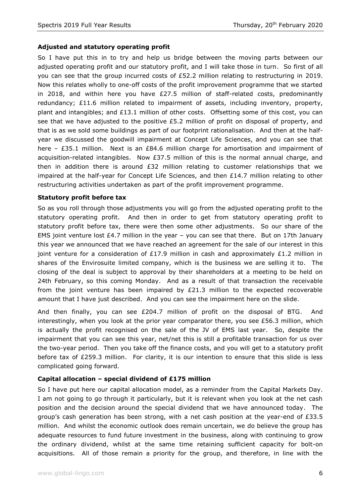# **Adjusted and statutory operating profit**

So I have put this in to try and help us bridge between the moving parts between our adjusted operating profit and our statutory profit, and I will take those in turn. So first of all you can see that the group incurred costs of £52.2 million relating to restructuring in 2019. Now this relates wholly to one-off costs of the profit improvement programme that we started in 2018, and within here you have  $£27.5$  million of staff-related costs, predominantly redundancy;  $£11.6$  million related to impairment of assets, including inventory, property, plant and intangibles; and £13.1 million of other costs. Offsetting some of this cost, you can see that we have adjusted to the positive  $£5.2$  million of profit on disposal of property, and that is as we sold some buildings as part of our footprint rationalisation. And then at the halfyear we discussed the goodwill impairment at Concept Life Sciences, and you can see that here – £35.1 million. Next is an £84.6 million charge for amortisation and impairment of acquisition-related intangibles. Now  $£37.5$  million of this is the normal annual charge, and then in addition there is around £32 million relating to customer relationships that we impaired at the half-year for Concept Life Sciences, and then £14.7 million relating to other restructuring activities undertaken as part of the profit improvement programme.

# **Statutory profit before tax**

So as you roll through those adjustments you will go from the adjusted operating profit to the statutory operating profit. And then in order to get from statutory operating profit to statutory profit before tax, there were then some other adjustments. So our share of the EMS joint venture lost £4.7 million in the year – you can see that there. But on 17th January this year we announced that we have reached an agreement for the sale of our interest in this joint venture for a consideration of £17.9 million in cash and approximately £1.2 million in shares of the Envirosuite limited company, which is the business we are selling it to. The closing of the deal is subject to approval by their shareholders at a meeting to be held on 24th February, so this coming Monday. And as a result of that transaction the receivable from the joint venture has been impaired by  $E21.3$  million to the expected recoverable amount that I have just described. And you can see the impairment here on the slide.

And then finally, you can see £204.7 million of profit on the disposal of BTG. And interestingly, when you look at the prior year comparator there, you see £56.3 million, which is actually the profit recognised on the sale of the JV of EMS last year. So, despite the impairment that you can see this year, net/net this is still a profitable transaction for us over the two-year period. Then you take off the finance costs, and you will get to a statutory profit before tax of £259.3 million. For clarity, it is our intention to ensure that this slide is less complicated going forward.

# **Capital allocation – special dividend of £175 million**

So I have put here our capital allocation model, as a reminder from the Capital Markets Day. I am not going to go through it particularly, but it is relevant when you look at the net cash position and the decision around the special dividend that we have announced today. The group's cash generation has been strong, with a net cash position at the year-end of  $E33.5$ million. And whilst the economic outlook does remain uncertain, we do believe the group has adequate resources to fund future investment in the business, along with continuing to grow the ordinary dividend, whilst at the same time retaining sufficient capacity for bolt-on acquisitions. All of those remain a priority for the group, and therefore, in line with the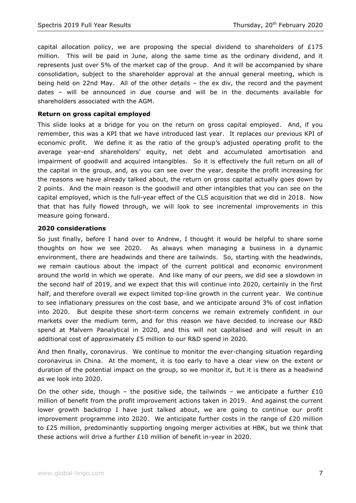capital allocation policy, we are proposing the special dividend to shareholders of  $£175$ million. This will be paid in June, along the same time as the ordinary dividend, and it represents just over 5% of the market cap of the group. And it will be accompanied by share consolidation, subject to the shareholder approval at the annual general meeting, which is being held on 22nd May. All of the other details – the ex div, the record and the payment dates – will be announced in due course and will be in the documents available for shareholders associated with the AGM.

#### **Return on gross capital employed**

This slide looks at a bridge for you on the return on gross capital employed. And, if you remember, this was a KPI that we have introduced last year. It replaces our previous KPI of economic profit. We define it as the ratio of the group's adjusted operating profit to the average year-end shareholders' equity, net debt and accumulated amortisation and impairment of goodwill and acquired intangibles. So it is effectively the full return on all of the capital in the group, and, as you can see over the year, despite the profit increasing for the reasons we have already talked about, the return on gross capital actually goes down by 2 points. And the main reason is the goodwill and other intangibles that you can see on the capital employed, which is the full-year effect of the CLS acquisition that we did in 2018. Now that that has fully flowed through, we will look to see incremental improvements in this measure going forward.

#### **2020 considerations**

So just finally, before I hand over to Andrew, I thought it would be helpful to share some thoughts on how we see 2020. As always when managing a business in a dynamic environment, there are headwinds and there are tailwinds. So, starting with the headwinds, we remain cautious about the impact of the current political and economic environment around the world in which we operate. And like many of our peers, we did see a slowdown in the second half of 2019, and we expect that this will continue into 2020, certainly in the first half, and therefore overall we expect limited top-line growth in the current year. We continue to see inflationary pressures on the cost base, and we anticipate around 3% of cost inflation into 2020. But despite these short-term concerns we remain extremely confident in our markets over the medium term, and for this reason we have decided to increase our R&D spend at Malvern Panalytical in 2020, and this will not capitalised and will result in an additional cost of approximately £5 million to our R&D spend in 2020.

And then finally, coronavirus. We continue to monitor the ever-changing situation regarding coronavirus in China. At the moment, it is too early to have a clear view on the extent or duration of the potential impact on the group, so we monitor it, but it is there as a headwind as we look into 2020.

On the other side, though – the positive side, the tailwinds – we anticipate a further £10 million of benefit from the profit improvement actions taken in 2019. And against the current lower growth backdrop I have just talked about, we are going to continue our profit improvement programme into 2020. We anticipate further costs in the range of  $E20$  million to £25 million, predominantly supporting ongoing merger activities at HBK, but we think that these actions will drive a further £10 million of benefit in-year in 2020.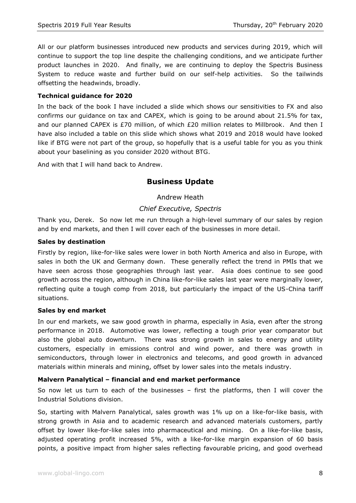All or our platform businesses introduced new products and services during 2019, which will continue to support the top line despite the challenging conditions, and we anticipate further product launches in 2020. And finally, we are continuing to deploy the Spectris Business System to reduce waste and further build on our self-help activities. So the tailwinds offsetting the headwinds, broadly.

### **Technical guidance for 2020**

In the back of the book I have included a slide which shows our sensitivities to FX and also confirms our guidance on tax and CAPEX, which is going to be around about 21.5% for tax, and our planned CAPEX is £70 million, of which £20 million relates to Millbrook. And then I have also included a table on this slide which shows what 2019 and 2018 would have looked like if BTG were not part of the group, so hopefully that is a useful table for you as you think about your baselining as you consider 2020 without BTG.

And with that I will hand back to Andrew.

# **Business Update**

# Andrew Heath

# *Chief Executive, Spectris*

Thank you, Derek. So now let me run through a high-level summary of our sales by region and by end markets, and then I will cover each of the businesses in more detail.

#### **Sales by destination**

Firstly by region, like-for-like sales were lower in both North America and also in Europe, with sales in both the UK and Germany down. These generally reflect the trend in PMIs that we have seen across those geographies through last year. Asia does continue to see good growth across the region, although in China like-for-like sales last year were marginally lower, reflecting quite a tough comp from 2018, but particularly the impact of the US-China tariff situations.

#### **Sales by end market**

In our end markets, we saw good growth in pharma, especially in Asia, even after the strong performance in 2018. Automotive was lower, reflecting a tough prior year comparator but also the global auto downturn. There was strong growth in sales to energy and utility customers, especially in emissions control and wind power, and there was growth in semiconductors, through lower in electronics and telecoms, and good growth in advanced materials within minerals and mining, offset by lower sales into the metals industry.

#### **Malvern Panalytical – financial and end market performance**

So now let us turn to each of the businesses – first the platforms, then I will cover the Industrial Solutions division.

So, starting with Malvern Panalytical, sales growth was 1% up on a like-for-like basis, with strong growth in Asia and to academic research and advanced materials customers, partly offset by lower like-for-like sales into pharmaceutical and mining. On a like-for-like basis, adjusted operating profit increased 5%, with a like-for-like margin expansion of 60 basis points, a positive impact from higher sales reflecting favourable pricing, and good overhead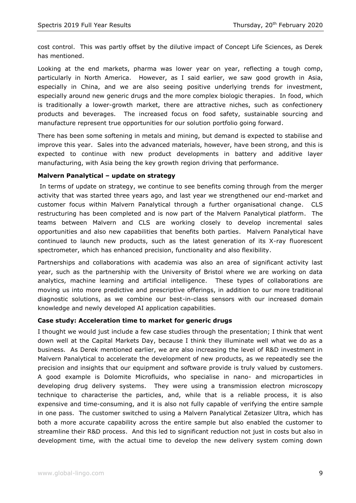cost control. This was partly offset by the dilutive impact of Concept Life Sciences, as Derek has mentioned.

Looking at the end markets, pharma was lower year on year, reflecting a tough comp, particularly in North America. However, as I said earlier, we saw good growth in Asia, especially in China, and we are also seeing positive underlying trends for investment, especially around new generic drugs and the more complex biologic therapies. In food, which is traditionally a lower-growth market, there are attractive niches, such as confectionery products and beverages. The increased focus on food safety, sustainable sourcing and manufacture represent true opportunities for our solution portfolio going forward.

There has been some softening in metals and mining, but demand is expected to stabilise and improve this year. Sales into the advanced materials, however, have been strong, and this is expected to continue with new product developments in battery and additive layer manufacturing, with Asia being the key growth region driving that performance.

#### **Malvern Panalytical – update on strategy**

In terms of update on strategy, we continue to see benefits coming through from the merger activity that was started three years ago, and last year we strengthened our end-market and customer focus within Malvern Panalytical through a further organisational change. CLS restructuring has been completed and is now part of the Malvern Panalytical platform. The teams between Malvern and CLS are working closely to develop incremental sales opportunities and also new capabilities that benefits both parties. Malvern Panalytical have continued to launch new products, such as the latest generation of its X-ray fluorescent spectrometer, which has enhanced precision, functionality and also flexibility.

Partnerships and collaborations with academia was also an area of significant activity last year, such as the partnership with the University of Bristol where we are working on data analytics, machine learning and artificial intelligence. These types of collaborations are moving us into more predictive and prescriptive offerings, in addition to our more traditional diagnostic solutions, as we combine our best-in-class sensors with our increased domain knowledge and newly developed AI application capabilities.

#### **Case study: Acceleration time to market for generic drugs**

I thought we would just include a few case studies through the presentation; I think that went down well at the Capital Markets Day, because I think they illuminate well what we do as a business. As Derek mentioned earlier, we are also increasing the level of R&D investment in Malvern Panalytical to accelerate the development of new products, as we repeatedly see the precision and insights that our equipment and software provide is truly valued by customers. A good example is Dolomite Microfluids, who specialise in nano- and microparticles in developing drug delivery systems. They were using a transmission electron microscopy technique to characterise the particles, and, while that is a reliable process, it is also expensive and time-consuming, and it is also not fully capable of verifying the entire sample in one pass. The customer switched to using a Malvern Panalytical Zetasizer Ultra, which has both a more accurate capability across the entire sample but also enabled the customer to streamline their R&D process. And this led to significant reduction not just in costs but also in development time, with the actual time to develop the new delivery system coming down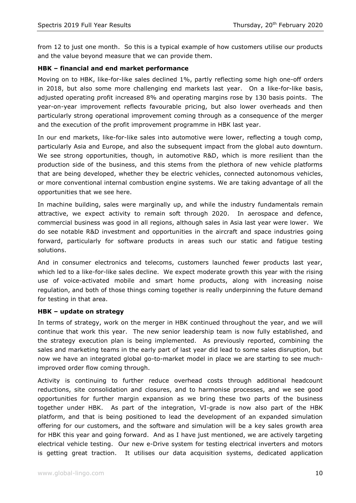from 12 to just one month. So this is a typical example of how customers utilise our products and the value beyond measure that we can provide them.

# **HBK – financial and end market performance**

Moving on to HBK, like-for-like sales declined 1%, partly reflecting some high one-off orders in 2018, but also some more challenging end markets last year. On a like-for-like basis, adjusted operating profit increased 8% and operating margins rose by 130 basis points. The year-on-year improvement reflects favourable pricing, but also lower overheads and then particularly strong operational improvement coming through as a consequence of the merger and the execution of the profit improvement programme in HBK last year.

In our end markets, like-for-like sales into automotive were lower, reflecting a tough comp, particularly Asia and Europe, and also the subsequent impact from the global auto downturn. We see strong opportunities, though, in automotive R&D, which is more resilient than the production side of the business, and this stems from the plethora of new vehicle platforms that are being developed, whether they be electric vehicles, connected autonomous vehicles, or more conventional internal combustion engine systems. We are taking advantage of all the opportunities that we see here.

In machine building, sales were marginally up, and while the industry fundamentals remain attractive, we expect activity to remain soft through 2020. In aerospace and defence, commercial business was good in all regions, although sales in Asia last year were lower. We do see notable R&D investment and opportunities in the aircraft and space industries going forward, particularly for software products in areas such our static and fatigue testing solutions.

And in consumer electronics and telecoms, customers launched fewer products last year, which led to a like-for-like sales decline. We expect moderate growth this year with the rising use of voice-activated mobile and smart home products, along with increasing noise regulation, and both of those things coming together is really underpinning the future demand for testing in that area.

#### **HBK – update on strategy**

In terms of strategy, work on the merger in HBK continued throughout the year, and we will continue that work this year. The new senior leadership team is now fully established, and the strategy execution plan is being implemented. As previously reported, combining the sales and marketing teams in the early part of last year did lead to some sales disruption, but now we have an integrated global go-to-market model in place we are starting to see muchimproved order flow coming through.

Activity is continuing to further reduce overhead costs through additional headcount reductions, site consolidation and closures, and to harmonise processes, and we see good opportunities for further margin expansion as we bring these two parts of the business together under HBK. As part of the integration, VI-grade is now also part of the HBK platform, and that is being positioned to lead the development of an expanded simulation offering for our customers, and the software and simulation will be a key sales growth area for HBK this year and going forward. And as I have just mentioned, we are actively targeting electrical vehicle testing. Our new e-Drive system for testing electrical inverters and motors is getting great traction. It utilises our data acquisition systems, dedicated application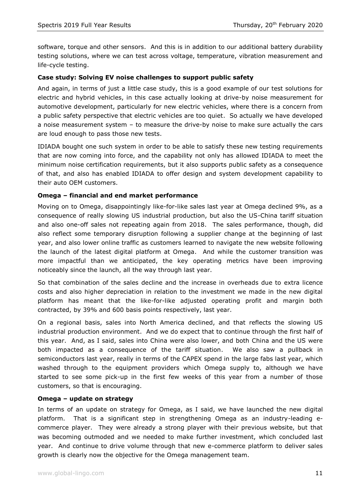software, torque and other sensors. And this is in addition to our additional battery durability testing solutions, where we can test across voltage, temperature, vibration measurement and life-cycle testing.

# **Case study: Solving EV noise challenges to support public safety**

And again, in terms of just a little case study, this is a good example of our test solutions for electric and hybrid vehicles, in this case actually looking at drive-by noise measurement for automotive development, particularly for new electric vehicles, where there is a concern from a public safety perspective that electric vehicles are too quiet. So actually we have developed a noise measurement system – to measure the drive-by noise to make sure actually the cars are loud enough to pass those new tests.

IDIADA bought one such system in order to be able to satisfy these new testing requirements that are now coming into force, and the capability not only has allowed IDIADA to meet the minimum noise certification requirements, but it also supports public safety as a consequence of that, and also has enabled IDIADA to offer design and system development capability to their auto OEM customers.

# **Omega – financial and end market performance**

Moving on to Omega, disappointingly like-for-like sales last year at Omega declined 9%, as a consequence of really slowing US industrial production, but also the US-China tariff situation and also one-off sales not repeating again from 2018. The sales performance, though, did also reflect some temporary disruption following a supplier change at the beginning of last year, and also lower online traffic as customers learned to navigate the new website following the launch of the latest digital platform at Omega. And while the customer transition was more impactful than we anticipated, the key operating metrics have been improving noticeably since the launch, all the way through last year.

So that combination of the sales decline and the increase in overheads due to extra licence costs and also higher depreciation in relation to the investment we made in the new digital platform has meant that the like-for-like adjusted operating profit and margin both contracted, by 39% and 600 basis points respectively, last year.

On a regional basis, sales into North America declined, and that reflects the slowing US industrial production environment. And we do expect that to continue through the first half of this year. And, as I said, sales into China were also lower, and both China and the US were both impacted as a consequence of the tariff situation. We also saw a pullback in semiconductors last year, really in terms of the CAPEX spend in the large fabs last year, which washed through to the equipment providers which Omega supply to, although we have started to see some pick-up in the first few weeks of this year from a number of those customers, so that is encouraging.

#### **Omega – update on strategy**

In terms of an update on strategy for Omega, as I said, we have launched the new digital platform. That is a significant step in strengthening Omega as an industry-leading ecommerce player. They were already a strong player with their previous website, but that was becoming outmoded and we needed to make further investment, which concluded last year. And continue to drive volume through that new e-commerce platform to deliver sales growth is clearly now the objective for the Omega management team.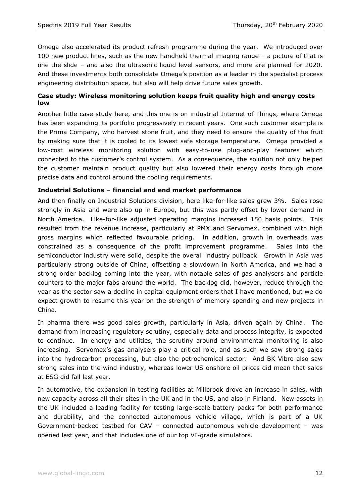Omega also accelerated its product refresh programme during the year. We introduced over 100 new product lines, such as the new handheld thermal imaging range – a picture of that is one the slide – and also the ultrasonic liquid level sensors, and more are planned for 2020. And these investments both consolidate Omega's position as a leader in the specialist process engineering distribution space, but also will help drive future sales growth.

# **Case study: Wireless monitoring solution keeps fruit quality high and energy costs low**

Another little case study here, and this one is on industrial Internet of Things, where Omega has been expanding its portfolio progressively in recent years. One such customer example is the Prima Company, who harvest stone fruit, and they need to ensure the quality of the fruit by making sure that it is cooled to its lowest safe storage temperature. Omega provided a low-cost wireless monitoring solution with easy-to-use plug-and-play features which connected to the customer's control system. As a consequence, the solution not only helped the customer maintain product quality but also lowered their energy costs through more precise data and control around the cooling requirements.

# **Industrial Solutions – financial and end market performance**

And then finally on Industrial Solutions division, here like-for-like sales grew 3%. Sales rose strongly in Asia and were also up in Europe, but this was partly offset by lower demand in North America. Like-for-like adjusted operating margins increased 150 basis points. This resulted from the revenue increase, particularly at PMX and Servomex, combined with high gross margins which reflected favourable pricing. In addition, growth in overheads was constrained as a consequence of the profit improvement programme. Sales into the semiconductor industry were solid, despite the overall industry pullback. Growth in Asia was particularly strong outside of China, offsetting a slowdown in North America, and we had a strong order backlog coming into the year, with notable sales of gas analysers and particle counters to the major fabs around the world. The backlog did, however, reduce through the year as the sector saw a decline in capital equipment orders that I have mentioned, but we do expect growth to resume this year on the strength of memory spending and new projects in China.

In pharma there was good sales growth, particularly in Asia, driven again by China. The demand from increasing regulatory scrutiny, especially data and process integrity, is expected to continue. In energy and utilities, the scrutiny around environmental monitoring is also increasing. Servomex's gas analysers play a critical role, and as such we saw strong sales into the hydrocarbon processing, but also the petrochemical sector. And BK Vibro also saw strong sales into the wind industry, whereas lower US onshore oil prices did mean that sales at ESG did fall last year.

In automotive, the expansion in testing facilities at Millbrook drove an increase in sales, with new capacity across all their sites in the UK and in the US, and also in Finland. New assets in the UK included a leading facility for testing large-scale battery packs for both performance and durability, and the connected autonomous vehicle village, which is part of a UK Government-backed testbed for CAV – connected autonomous vehicle development – was opened last year, and that includes one of our top VI-grade simulators.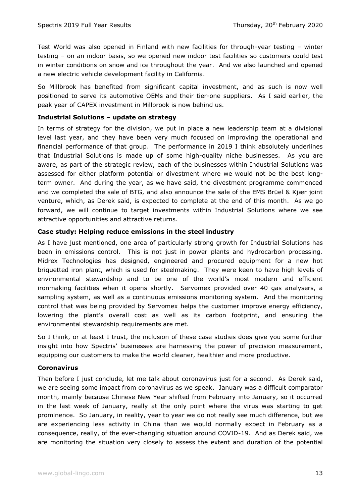Test World was also opened in Finland with new facilities for through-year testing – winter testing – on an indoor basis, so we opened new indoor test facilities so customers could test in winter conditions on snow and ice throughout the year. And we also launched and opened a new electric vehicle development facility in California.

So Millbrook has benefited from significant capital investment, and as such is now well positioned to serve its automotive OEMs and their tier-one suppliers. As I said earlier, the peak year of CAPEX investment in Millbrook is now behind us.

# **Industrial Solutions – update on strategy**

In terms of strategy for the division, we put in place a new leadership team at a divisional level last year, and they have been very much focused on improving the operational and financial performance of that group. The performance in 2019 I think absolutely underlines that Industrial Solutions is made up of some high-quality niche businesses. As you are aware, as part of the strategic review, each of the businesses within Industrial Solutions was assessed for either platform potential or divestment where we would not be the best longterm owner. And during the year, as we have said, the divestment programme commenced and we completed the sale of BTG, and also announce the sale of the EMS Brüel & Kjær joint venture, which, as Derek said, is expected to complete at the end of this month. As we go forward, we will continue to target investments within Industrial Solutions where we see attractive opportunities and attractive returns.

# **Case study: Helping reduce emissions in the steel industry**

As I have just mentioned, one area of particularly strong growth for Industrial Solutions has been in emissions control. This is not just in power plants and hydrocarbon processing. Midrex Technologies has designed, engineered and procured equipment for a new hot briquetted iron plant, which is used for steelmaking. They were keen to have high levels of environmental stewardship and to be one of the world's most modern and efficient ironmaking facilities when it opens shortly. Servomex provided over 40 gas analysers, a sampling system, as well as a continuous emissions monitoring system. And the monitoring control that was being provided by Servomex helps the customer improve energy efficiency, lowering the plant's overall cost as well as its carbon footprint, and ensuring the environmental stewardship requirements are met.

So I think, or at least I trust, the inclusion of these case studies does give you some further insight into how Spectris' businesses are harnessing the power of precision measurement, equipping our customers to make the world cleaner, healthier and more productive.

#### **Coronavirus**

Then before I just conclude, let me talk about coronavirus just for a second. As Derek said, we are seeing some impact from coronavirus as we speak. January was a difficult comparator month, mainly because Chinese New Year shifted from February into January, so it occurred in the last week of January, really at the only point where the virus was starting to get prominence. So January, in reality, year to year we do not really see much difference, but we are experiencing less activity in China than we would normally expect in February as a consequence, really, of the ever-changing situation around COVID-19. And as Derek said, we are monitoring the situation very closely to assess the extent and duration of the potential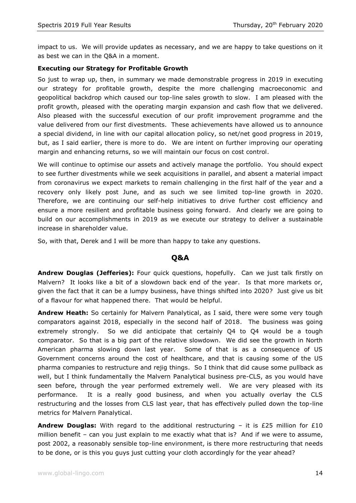impact to us. We will provide updates as necessary, and we are happy to take questions on it as best we can in the Q&A in a moment.

# **Executing our Strategy for Profitable Growth**

So just to wrap up, then, in summary we made demonstrable progress in 2019 in executing our strategy for profitable growth, despite the more challenging macroeconomic and geopolitical backdrop which caused our top-line sales growth to slow. I am pleased with the profit growth, pleased with the operating margin expansion and cash flow that we delivered. Also pleased with the successful execution of our profit improvement programme and the value delivered from our first divestments. These achievements have allowed us to announce a special dividend, in line with our capital allocation policy, so net/net good progress in 2019, but, as I said earlier, there is more to do. We are intent on further improving our operating margin and enhancing returns, so we will maintain our focus on cost control.

We will continue to optimise our assets and actively manage the portfolio. You should expect to see further divestments while we seek acquisitions in parallel, and absent a material impact from coronavirus we expect markets to remain challenging in the first half of the year and a recovery only likely post June, and as such we see limited top-line growth in 2020. Therefore, we are continuing our self-help initiatives to drive further cost efficiency and ensure a more resilient and profitable business going forward. And clearly we are going to build on our accomplishments in 2019 as we execute our strategy to deliver a sustainable increase in shareholder value.

So, with that, Derek and I will be more than happy to take any questions.

# **Q&A**

**Andrew Douglas (Jefferies):** Four quick questions, hopefully. Can we just talk firstly on Malvern? It looks like a bit of a slowdown back end of the year. Is that more markets or, given the fact that it can be a lumpy business, have things shifted into 2020? Just give us bit of a flavour for what happened there. That would be helpful.

**Andrew Heath:** So certainly for Malvern Panalytical, as I said, there were some very tough comparators against 2018, especially in the second half of 2018. The business was going extremely strongly. So we did anticipate that certainly Q4 to Q4 would be a tough comparator. So that is a big part of the relative slowdown. We did see the growth in North American pharma slowing down last year. Some of that is as a consequence of US Government concerns around the cost of healthcare, and that is causing some of the US pharma companies to restructure and rejig things. So I think that did cause some pullback as well, but I think fundamentally the Malvern Panalytical business pre-CLS, as you would have seen before, through the year performed extremely well. We are very pleased with its performance. It is a really good business, and when you actually overlay the CLS restructuring and the losses from CLS last year, that has effectively pulled down the top-line metrics for Malvern Panalytical.

**Andrew Douglas:** With regard to the additional restructuring – it is £25 million for £10 million benefit – can you just explain to me exactly what that is? And if we were to assume, post 2002, a reasonably sensible top-line environment, is there more restructuring that needs to be done, or is this you guys just cutting your cloth accordingly for the year ahead?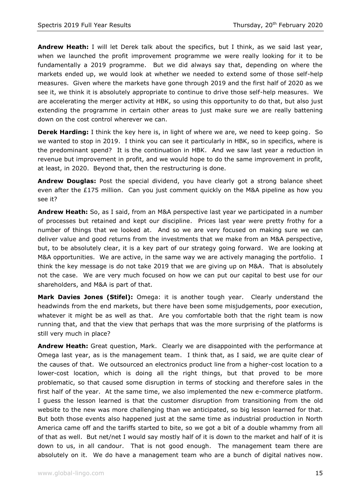**Andrew Heath:** I will let Derek talk about the specifics, but I think, as we said last year, when we launched the profit improvement programme we were really looking for it to be fundamentally a 2019 programme. But we did always say that, depending on where the markets ended up, we would look at whether we needed to extend some of those self-help measures. Given where the markets have gone through 2019 and the first half of 2020 as we see it, we think it is absolutely appropriate to continue to drive those self-help measures. We are accelerating the merger activity at HBK, so using this opportunity to do that, but also just extending the programme in certain other areas to just make sure we are really battening down on the cost control wherever we can.

**Derek Harding:** I think the key here is, in light of where we are, we need to keep going. So we wanted to stop in 2019. I think you can see it particularly in HBK, so in specifics, where is the predominant spend? It is the continuation in HBK. And we saw last year a reduction in revenue but improvement in profit, and we would hope to do the same improvement in profit, at least, in 2020. Beyond that, then the restructuring is done.

**Andrew Douglas:** Post the special dividend, you have clearly got a strong balance sheet even after the  $£175$  million. Can you just comment quickly on the M&A pipeline as how you see it?

**Andrew Heath:** So, as I said, from an M&A perspective last year we participated in a number of processes but retained and kept our discipline. Prices last year were pretty frothy for a number of things that we looked at. And so we are very focused on making sure we can deliver value and good returns from the investments that we make from an M&A perspective, but, to be absolutely clear, it is a key part of our strategy going forward. We are looking at M&A opportunities. We are active, in the same way we are actively managing the portfolio. I think the key message is do not take 2019 that we are giving up on M&A. That is absolutely not the case. We are very much focused on how we can put our capital to best use for our shareholders, and M&A is part of that.

**Mark Davies Jones (Stifel):** Omega: it is another tough year. Clearly understand the headwinds from the end markets, but there have been some misjudgements, poor execution, whatever it might be as well as that. Are you comfortable both that the right team is now running that, and that the view that perhaps that was the more surprising of the platforms is still very much in place?

**Andrew Heath:** Great question, Mark. Clearly we are disappointed with the performance at Omega last year, as is the management team. I think that, as I said, we are quite clear of the causes of that. We outsourced an electronics product line from a higher-cost location to a lower-cost location, which is doing all the right things, but that proved to be more problematic, so that caused some disruption in terms of stocking and therefore sales in the first half of the year. At the same time, we also implemented the new e-commerce platform. I guess the lesson learned is that the customer disruption from transitioning from the old website to the new was more challenging than we anticipated, so big lesson learned for that. But both those events also happened just at the same time as industrial production in North America came off and the tariffs started to bite, so we got a bit of a double whammy from all of that as well. But net/net I would say mostly half of it is down to the market and half of it is down to us, in all candour. That is not good enough. The management team there are absolutely on it. We do have a management team who are a bunch of digital natives now.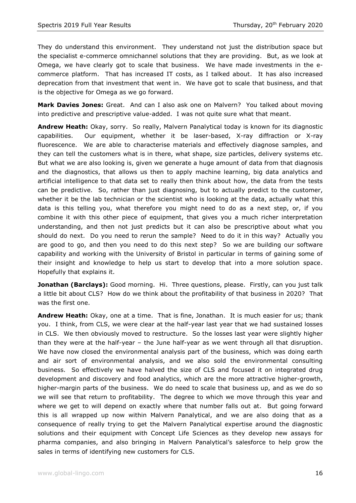They do understand this environment. They understand not just the distribution space but the specialist e-commerce omnichannel solutions that they are providing. But, as we look at Omega, we have clearly got to scale that business. We have made investments in the ecommerce platform. That has increased IT costs, as I talked about. It has also increased deprecation from that investment that went in. We have got to scale that business, and that is the objective for Omega as we go forward.

**Mark Davies Jones:** Great. And can I also ask one on Malvern? You talked about moving into predictive and prescriptive value-added. I was not quite sure what that meant.

**Andrew Heath:** Okay, sorry. So really, Malvern Panalytical today is known for its diagnostic capabilities. Our equipment, whether it be laser-based, X-ray diffraction or X-ray fluorescence. We are able to characterise materials and effectively diagnose samples, and they can tell the customers what is in there, what shape, size particles, delivery systems etc. But what we are also looking is, given we generate a huge amount of data from that diagnosis and the diagnostics, that allows us then to apply machine learning, big data analytics and artificial intelligence to that data set to really then think about how, the data from the tests can be predictive. So, rather than just diagnosing, but to actually predict to the customer, whether it be the lab technician or the scientist who is looking at the data, actually what this data is this telling you, what therefore you might need to do as a next step, or, if you combine it with this other piece of equipment, that gives you a much richer interpretation understanding, and then not just predicts but it can also be prescriptive about what you should do next. Do you need to rerun the sample? Need to do it in this way? Actually you are good to go, and then you need to do this next step? So we are building our software capability and working with the University of Bristol in particular in terms of gaining some of their insight and knowledge to help us start to develop that into a more solution space. Hopefully that explains it.

**Jonathan (Barclays):** Good morning. Hi. Three questions, please. Firstly, can you just talk a little bit about CLS? How do we think about the profitability of that business in 2020? That was the first one.

**Andrew Heath:** Okay, one at a time. That is fine, Jonathan. It is much easier for us; thank you. I think, from CLS, we were clear at the half-year last year that we had sustained losses in CLS. We then obviously moved to restructure. So the losses last year were slightly higher than they were at the half-year – the June half-year as we went through all that disruption. We have now closed the environmental analysis part of the business, which was doing earth and air sort of environmental analysis, and we also sold the environmental consulting business. So effectively we have halved the size of CLS and focused it on integrated drug development and discovery and food analytics, which are the more attractive higher-growth, higher-margin parts of the business. We do need to scale that business up, and as we do so we will see that return to profitability. The degree to which we move through this year and where we get to will depend on exactly where that number falls out at. But going forward this is all wrapped up now within Malvern Panalytical, and we are also doing that as a consequence of really trying to get the Malvern Panalytical expertise around the diagnostic solutions and their equipment with Concept Life Sciences as they develop new assays for pharma companies, and also bringing in Malvern Panalytical's salesforce to help grow the sales in terms of identifying new customers for CLS.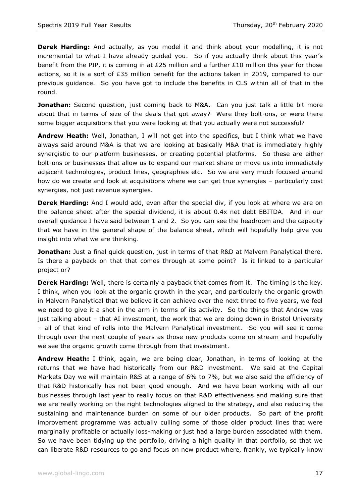**Derek Harding:** And actually, as you model it and think about your modelling, it is not incremental to what I have already guided you. So if you actually think about this year's benefit from the PIP, it is coming in at £25 million and a further £10 million this year for those actions, so it is a sort of £35 million benefit for the actions taken in 2019, compared to our previous guidance. So you have got to include the benefits in CLS within all of that in the round.

**Jonathan:** Second question, just coming back to M&A. Can you just talk a little bit more about that in terms of size of the deals that got away? Were they bolt-ons, or were there some bigger acquisitions that you were looking at that you actually were not successful?

**Andrew Heath:** Well, Jonathan, I will not get into the specifics, but I think what we have always said around M&A is that we are looking at basically M&A that is immediately highly synergistic to our platform businesses, or creating potential platforms. So these are either bolt-ons or businesses that allow us to expand our market share or move us into immediately adjacent technologies, product lines, geographies etc. So we are very much focused around how do we create and look at acquisitions where we can get true synergies – particularly cost synergies, not just revenue synergies.

**Derek Harding:** And I would add, even after the special div, if you look at where we are on the balance sheet after the special dividend, it is about 0.4x net debt EBITDA. And in our overall guidance I have said between 1 and 2. So you can see the headroom and the capacity that we have in the general shape of the balance sheet, which will hopefully help give you insight into what we are thinking.

**Jonathan:** Just a final quick question, just in terms of that R&D at Malvern Panalytical there. Is there a payback on that that comes through at some point? Is it linked to a particular project or?

**Derek Harding:** Well, there is certainly a payback that comes from it. The timing is the key. I think, when you look at the organic growth in the year, and particularly the organic growth in Malvern Panalytical that we believe it can achieve over the next three to five years, we feel we need to give it a shot in the arm in terms of its activity. So the things that Andrew was just talking about – that AI investment, the work that we are doing down in Bristol University – all of that kind of rolls into the Malvern Panalytical investment. So you will see it come through over the next couple of years as those new products come on stream and hopefully we see the organic growth come through from that investment.

**Andrew Heath:** I think, again, we are being clear, Jonathan, in terms of looking at the returns that we have had historically from our R&D investment. We said at the Capital Markets Day we will maintain R&S at a range of 6% to 7%, but we also said the efficiency of that R&D historically has not been good enough. And we have been working with all our businesses through last year to really focus on that R&D effectiveness and making sure that we are really working on the right technologies aligned to the strategy, and also reducing the sustaining and maintenance burden on some of our older products. So part of the profit improvement programme was actually culling some of those older product lines that were marginally profitable or actually loss-making or just had a large burden associated with them. So we have been tidying up the portfolio, driving a high quality in that portfolio, so that we can liberate R&D resources to go and focus on new product where, frankly, we typically know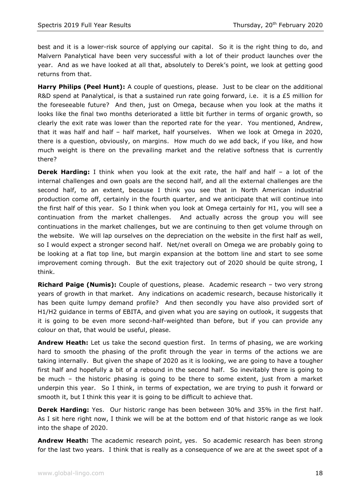best and it is a lower-risk source of applying our capital. So it is the right thing to do, and Malvern Panalytical have been very successful with a lot of their product launches over the year. And as we have looked at all that, absolutely to Derek's point, we look at getting good returns from that.

**Harry Philips (Peel Hunt):** A couple of questions, please. Just to be clear on the additional R&D spend at Panalytical, is that a sustained run rate going forward, i.e. it is a £5 million for the foreseeable future? And then, just on Omega, because when you look at the maths it looks like the final two months deteriorated a little bit further in terms of organic growth, so clearly the exit rate was lower than the reported rate for the year. You mentioned, Andrew, that it was half and half – half market, half yourselves. When we look at Omega in 2020, there is a question, obviously, on margins. How much do we add back, if you like, and how much weight is there on the prevailing market and the relative softness that is currently there?

**Derek Harding:** I think when you look at the exit rate, the half and half – a lot of the internal challenges and own goals are the second half, and all the external challenges are the second half, to an extent, because I think you see that in North American industrial production come off, certainly in the fourth quarter, and we anticipate that will continue into the first half of this year. So I think when you look at Omega certainly for H1, you will see a continuation from the market challenges. And actually across the group you will see continuations in the market challenges, but we are continuing to then get volume through on the website. We will lap ourselves on the depreciation on the website in the first half as well, so I would expect a stronger second half. Net/net overall on Omega we are probably going to be looking at a flat top line, but margin expansion at the bottom line and start to see some improvement coming through. But the exit trajectory out of 2020 should be quite strong, I think.

**Richard Paige (Numis):** Couple of questions, please. Academic research – two very strong years of growth in that market. Any indications on academic research, because historically it has been quite lumpy demand profile? And then secondly you have also provided sort of H1/H2 guidance in terms of EBITA, and given what you are saying on outlook, it suggests that it is going to be even more second-half-weighted than before, but if you can provide any colour on that, that would be useful, please.

**Andrew Heath:** Let us take the second question first. In terms of phasing, we are working hard to smooth the phasing of the profit through the year in terms of the actions we are taking internally. But given the shape of 2020 as it is looking, we are going to have a tougher first half and hopefully a bit of a rebound in the second half. So inevitably there is going to be much – the historic phasing is going to be there to some extent, just from a market underpin this year. So I think, in terms of expectation, we are trying to push it forward or smooth it, but I think this year it is going to be difficult to achieve that.

**Derek Harding:** Yes. Our historic range has been between 30% and 35% in the first half. As I sit here right now, I think we will be at the bottom end of that historic range as we look into the shape of 2020.

**Andrew Heath:** The academic research point, yes. So academic research has been strong for the last two years. I think that is really as a consequence of we are at the sweet spot of a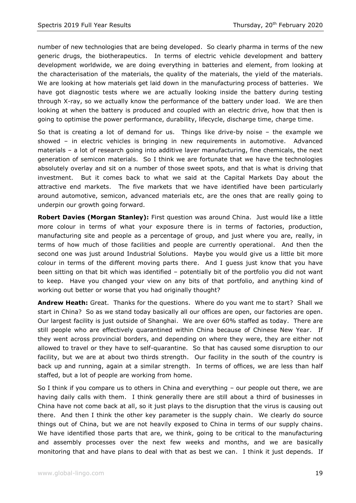number of new technologies that are being developed. So clearly pharma in terms of the new generic drugs, the biotherapeutics. In terms of electric vehicle development and battery development worldwide, we are doing everything in batteries and element, from looking at the characterisation of the materials, the quality of the materials, the yield of the materials. We are looking at how materials get laid down in the manufacturing process of batteries. We have got diagnostic tests where we are actually looking inside the battery during testing through X-ray, so we actually know the performance of the battery under load. We are then looking at when the battery is produced and coupled with an electric drive, how that then is going to optimise the power performance, durability, lifecycle, discharge time, charge time.

So that is creating a lot of demand for us. Things like drive-by noise – the example we showed – in electric vehicles is bringing in new requirements in automotive. Advanced materials – a lot of research going into additive layer manufacturing, fine chemicals, the next generation of semicon materials. So I think we are fortunate that we have the technologies absolutely overlay and sit on a number of those sweet spots, and that is what is driving that investment. But it comes back to what we said at the Capital Markets Day about the attractive end markets. The five markets that we have identified have been particularly around automotive, semicon, advanced materials etc, are the ones that are really going to underpin our growth going forward.

**Robert Davies (Morgan Stanley):** First question was around China. Just would like a little more colour in terms of what your exposure there is in terms of factories, production, manufacturing site and people as a percentage of group, and just where you are, really, in terms of how much of those facilities and people are currently operational. And then the second one was just around Industrial Solutions. Maybe you would give us a little bit more colour in terms of the different moving parts there. And I guess just know that you have been sitting on that bit which was identified – potentially bit of the portfolio you did not want to keep. Have you changed your view on any bits of that portfolio, and anything kind of working out better or worse that you had originally thought?

**Andrew Heath:** Great. Thanks for the questions. Where do you want me to start? Shall we start in China? So as we stand today basically all our offices are open, our factories are open. Our largest facility is just outside of Shanghai. We are over 60% staffed as today. There are still people who are effectively quarantined within China because of Chinese New Year. If they went across provincial borders, and depending on where they were, they are either not allowed to travel or they have to self-quarantine. So that has caused some disruption to our facility, but we are at about two thirds strength. Our facility in the south of the country is back up and running, again at a similar strength. In terms of offices, we are less than half staffed, but a lot of people are working from home.

So I think if you compare us to others in China and everything – our people out there, we are having daily calls with them. I think generally there are still about a third of businesses in China have not come back at all, so it just plays to the disruption that the virus is causing out there. And then I think the other key parameter is the supply chain. We clearly do source things out of China, but we are not heavily exposed to China in terms of our supply chains. We have identified those parts that are, we think, going to be critical to the manufacturing and assembly processes over the next few weeks and months, and we are basically monitoring that and have plans to deal with that as best we can. I think it just depends. If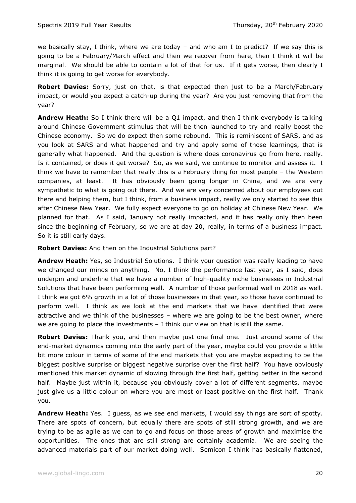we basically stay, I think, where we are today  $-$  and who am I to predict? If we say this is going to be a February/March effect and then we recover from here, then I think it will be marginal. We should be able to contain a lot of that for us. If it gets worse, then clearly I think it is going to get worse for everybody.

**Robert Davies:** Sorry, just on that, is that expected then just to be a March/February impact, or would you expect a catch-up during the year? Are you just removing that from the year?

**Andrew Heath:** So I think there will be a Q1 impact, and then I think everybody is talking around Chinese Government stimulus that will be then launched to try and really boost the Chinese economy. So we do expect then some rebound. This is reminiscent of SARS, and as you look at SARS and what happened and try and apply some of those learnings, that is generally what happened. And the question is where does coronavirus go from here, really. Is it contained, or does it get worse? So, as we said, we continue to monitor and assess it. I think we have to remember that really this is a February thing for most people – the Western companies, at least. It has obviously been going longer in China, and we are very sympathetic to what is going out there. And we are very concerned about our employees out there and helping them, but I think, from a business impact, really we only started to see this after Chinese New Year. We fully expect everyone to go on holiday at Chinese New Year. We planned for that. As I said, January not really impacted, and it has really only then been since the beginning of February, so we are at day 20, really, in terms of a business impact. So it is still early days.

**Robert Davies:** And then on the Industrial Solutions part?

**Andrew Heath:** Yes, so Industrial Solutions. I think your question was really leading to have we changed our minds on anything. No, I think the performance last year, as I said, does underpin and underline that we have a number of high-quality niche businesses in Industrial Solutions that have been performing well. A number of those performed well in 2018 as well. I think we got 6% growth in a lot of those businesses in that year, so those have continued to perform well. I think as we look at the end markets that we have identified that were attractive and we think of the businesses – where we are going to be the best owner, where we are going to place the investments  $-$  I think our view on that is still the same.

**Robert Davies:** Thank you, and then maybe just one final one. Just around some of the end-market dynamics coming into the early part of the year, maybe could you provide a little bit more colour in terms of some of the end markets that you are maybe expecting to be the biggest positive surprise or biggest negative surprise over the first half? You have obviously mentioned this market dynamic of slowing through the first half, getting better in the second half. Maybe just within it, because you obviously cover a lot of different segments, maybe just give us a little colour on where you are most or least positive on the first half. Thank you.

**Andrew Heath:** Yes. I guess, as we see end markets, I would say things are sort of spotty. There are spots of concern, but equally there are spots of still strong growth, and we are trying to be as agile as we can to go and focus on those areas of growth and maximise the opportunities. The ones that are still strong are certainly academia. We are seeing the advanced materials part of our market doing well. Semicon I think has basically flattened,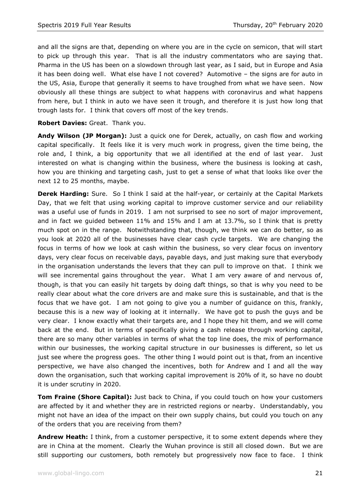and all the signs are that, depending on where you are in the cycle on semicon, that will start to pick up through this year. That is all the industry commentators who are saying that. Pharma in the US has been on a slowdown through last year, as I said, but in Europe and Asia it has been doing well. What else have I not covered? Automotive – the signs are for auto in the US, Asia, Europe that generally it seems to have troughed from what we have seen. Now obviously all these things are subject to what happens with coronavirus and what happens from here, but I think in auto we have seen it trough, and therefore it is just how long that trough lasts for. I think that covers off most of the key trends.

#### **Robert Davies:** Great. Thank you.

**Andy Wilson (JP Morgan):** Just a quick one for Derek, actually, on cash flow and working capital specifically. It feels like it is very much work in progress, given the time being, the role and, I think, a big opportunity that we all identified at the end of last year. Just interested on what is changing within the business, where the business is looking at cash, how you are thinking and targeting cash, just to get a sense of what that looks like over the next 12 to 25 months, maybe.

**Derek Harding:** Sure. So I think I said at the half-year, or certainly at the Capital Markets Day, that we felt that using working capital to improve customer service and our reliability was a useful use of funds in 2019. I am not surprised to see no sort of major improvement, and in fact we guided between 11% and 15% and I am at 13.7%, so I think that is pretty much spot on in the range. Notwithstanding that, though, we think we can do better, so as you look at 2020 all of the businesses have clear cash cycle targets. We are changing the focus in terms of how we look at cash within the business, so very clear focus on inventory days, very clear focus on receivable days, payable days, and just making sure that everybody in the organisation understands the levers that they can pull to improve on that. I think we will see incremental gains throughout the year. What I am very aware of and nervous of, though, is that you can easily hit targets by doing daft things, so that is why you need to be really clear about what the core drivers are and make sure this is sustainable, and that is the focus that we have got. I am not going to give you a number of guidance on this, frankly, because this is a new way of looking at it internally. We have got to push the guys and be very clear. I know exactly what their targets are, and I hope they hit them, and we will come back at the end. But in terms of specifically giving a cash release through working capital, there are so many other variables in terms of what the top line does, the mix of performance within our businesses, the working capital structure in our businesses is different, so let us just see where the progress goes. The other thing I would point out is that, from an incentive perspective, we have also changed the incentives, both for Andrew and I and all the way down the organisation, such that working capital improvement is 20% of it, so have no doubt it is under scrutiny in 2020.

**Tom Fraine (Shore Capital):** Just back to China, if you could touch on how your customers are affected by it and whether they are in restricted regions or nearby. Understandably, you might not have an idea of the impact on their own supply chains, but could you touch on any of the orders that you are receiving from them?

**Andrew Heath:** I think, from a customer perspective, it to some extent depends where they are in China at the moment. Clearly the Wuhan province is still all closed down. But we are still supporting our customers, both remotely but progressively now face to face. I think